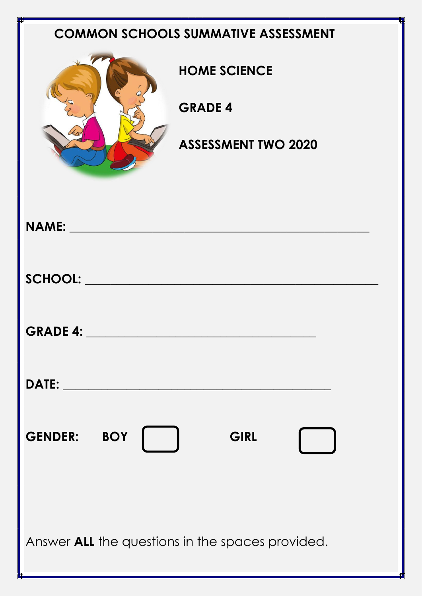## **COMMON SCHOOLS SUMMATIVE ASSESSMENT**



**HOME SCIENCE**

**GRADE 4**

**ASSESSMENT TWO 2020**

| <b>GENDER: BOY</b><br>GIRL<br>$\sim$ 1                  |
|---------------------------------------------------------|
| Answer <b>ALL</b> the questions in the spaces provided. |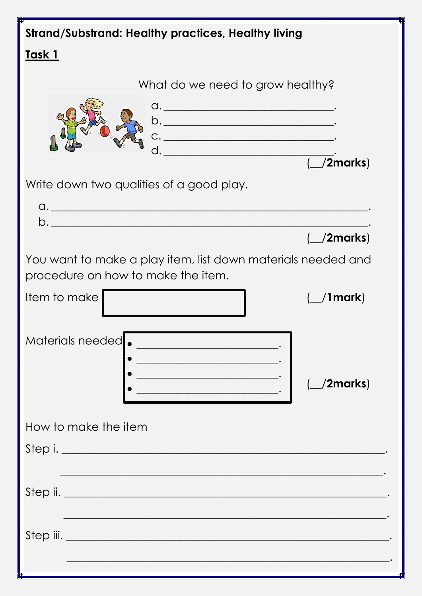| <b>Strand/Substrand: Healthy practices, Healthy living</b>                                                                                            |
|-------------------------------------------------------------------------------------------------------------------------------------------------------|
| <u>Task 1</u>                                                                                                                                         |
| What do we need to grow healthy?<br>b.<br>$C.$ $\qquad \qquad \qquad \qquad$<br>$($ /2marks)                                                          |
| Write down two qualities of a good play.<br>$\alpha$ .                                                                                                |
| $\Box$ /2marks)<br>You want to make a play item, list down materials needed and<br>procedure on how to make the item.<br>Item to make<br>$\_$ /1mark) |
| Materials needed.<br><u> 1980 - Johann Barbara, martxa alemani</u><br><u> 1980 - Johann Barn, mars ann an t-Amhair an t-</u><br>/2marks)              |
| How to make the item<br>Step i.                                                                                                                       |
| <u> 1950 - Johann Johann Stoff, deutscher Stoff und der Stoff und der Stoff und der Stoff und der Stoff und der S</u>                                 |
|                                                                                                                                                       |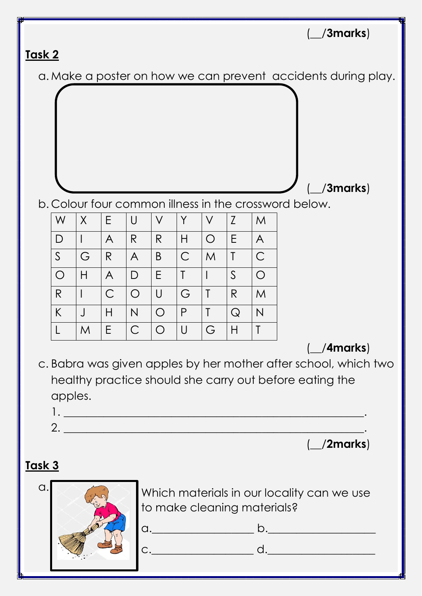